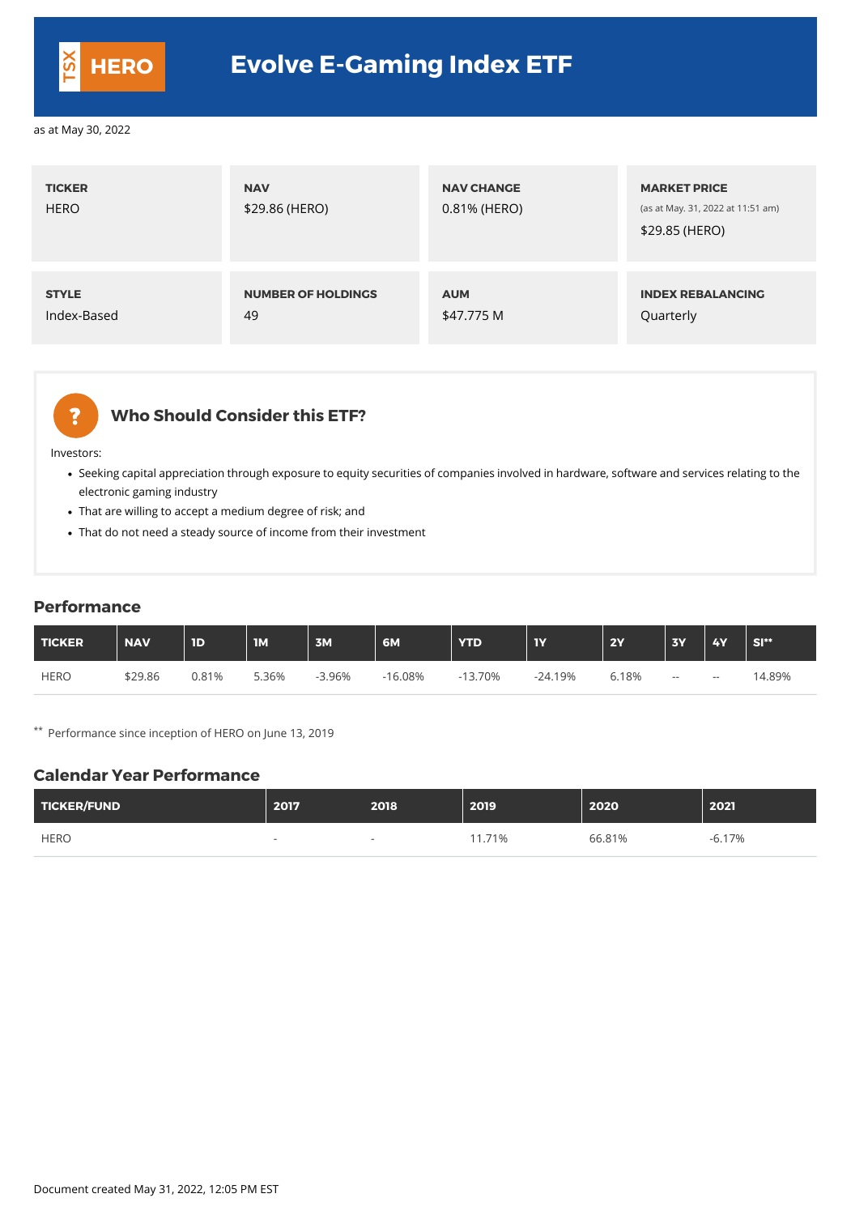| <b>TICKER</b><br><b>HERO</b> | <b>NAV</b><br>\$29.86 (HERO) | <b>NAV CHANGE</b><br>0.81% (HERO) | <b>MARKET PRICE</b><br>(as at May. 31, 2022 at 11:51 am)<br>\$29.85 (HERO) |
|------------------------------|------------------------------|-----------------------------------|----------------------------------------------------------------------------|
| <b>STYLE</b>                 | <b>NUMBER OF HOLDINGS</b>    | <b>AUM</b>                        | <b>INDEX REBALANCING</b>                                                   |
| Index-Based                  | 49                           | \$47.775 M                        | Quarterly                                                                  |



#### **Who Should Consider this ETF?**

Investors:

- Seeking capital appreciation through exposure to equity securities of companies involved in hardware, software and services relating to the electronic gaming industry
- That are willing to accept a medium degree of risk; and
- That do not need a steady source of income from their investment

#### **Performance**

| TICKER      | <b>NAV</b> | <b>ID</b> | $\overline{\mathsf{IM}}$ | 3M       | 6M        | <b>YTD</b> | <b>IY</b> | <b>2Y</b> | <b>3Y</b> | <b>4Y</b> | SI**   |
|-------------|------------|-----------|--------------------------|----------|-----------|------------|-----------|-----------|-----------|-----------|--------|
| <b>HERO</b> | \$29.86    | 0.81%     | 5.36%                    | $-3.96%$ | $-16.08%$ | $-13.70%$  | $-24.19%$ | 6.18%     | $- -$     | $- -$     | 14.89% |

\*\* Performance since inception of HERO on June 13, 2019

#### **Calendar Year Performance**

| <b>TICKER/FUND</b> | 2017 | 2018                     | 2019   | 2020   | 2021  |
|--------------------|------|--------------------------|--------|--------|-------|
| <b>HERO</b>        |      | $\overline{\phantom{0}}$ | 11.71% | 66.81% | 6.17% |

Document created May 31, 2022, 12:05 PM EST



## **HERO Evolve E-Gaming Index ETF**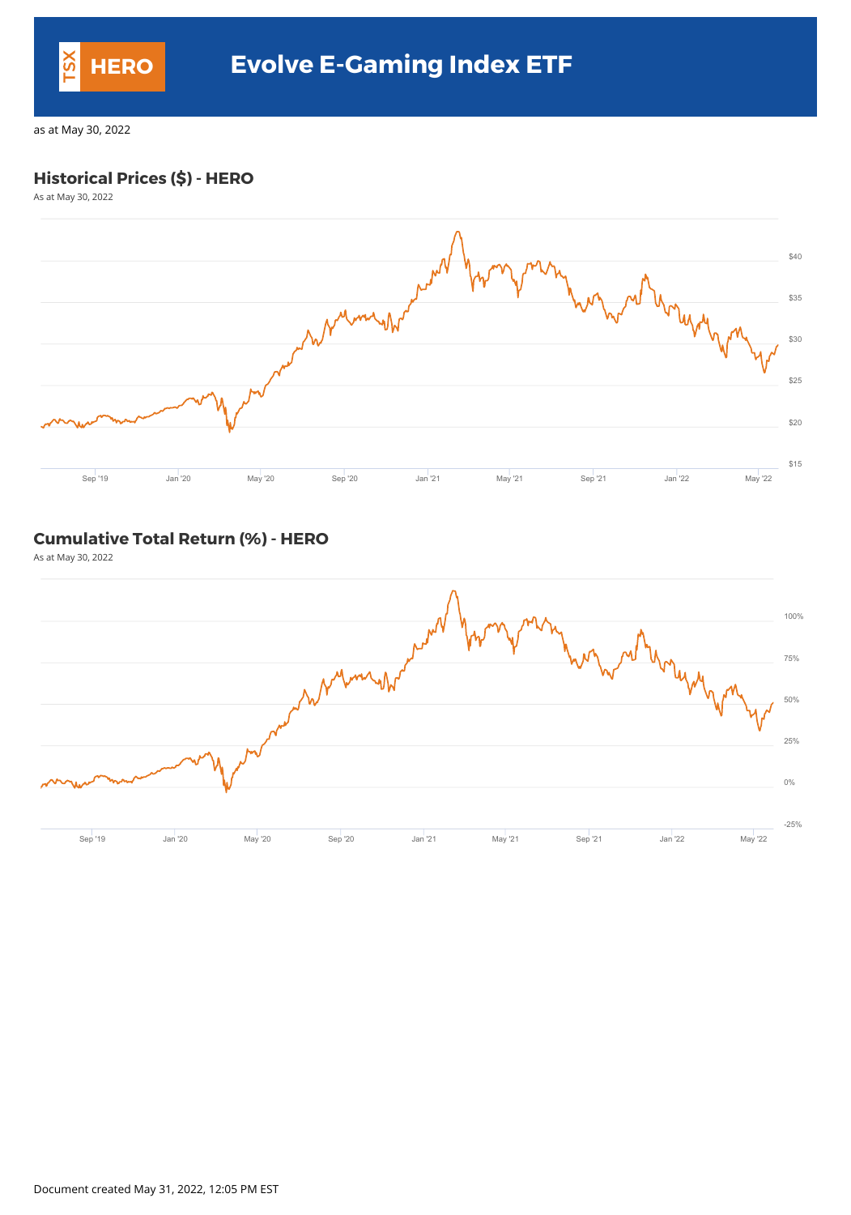### **Historical Prices (\$) - HERO**

As at May 30, 2022



### **Cumulative Total Return (%) - HERO**

As at May 30, 2022



Document created May 31, 2022, 12:05 PM EST



## **HERO Evolve E-Gaming Index ETF**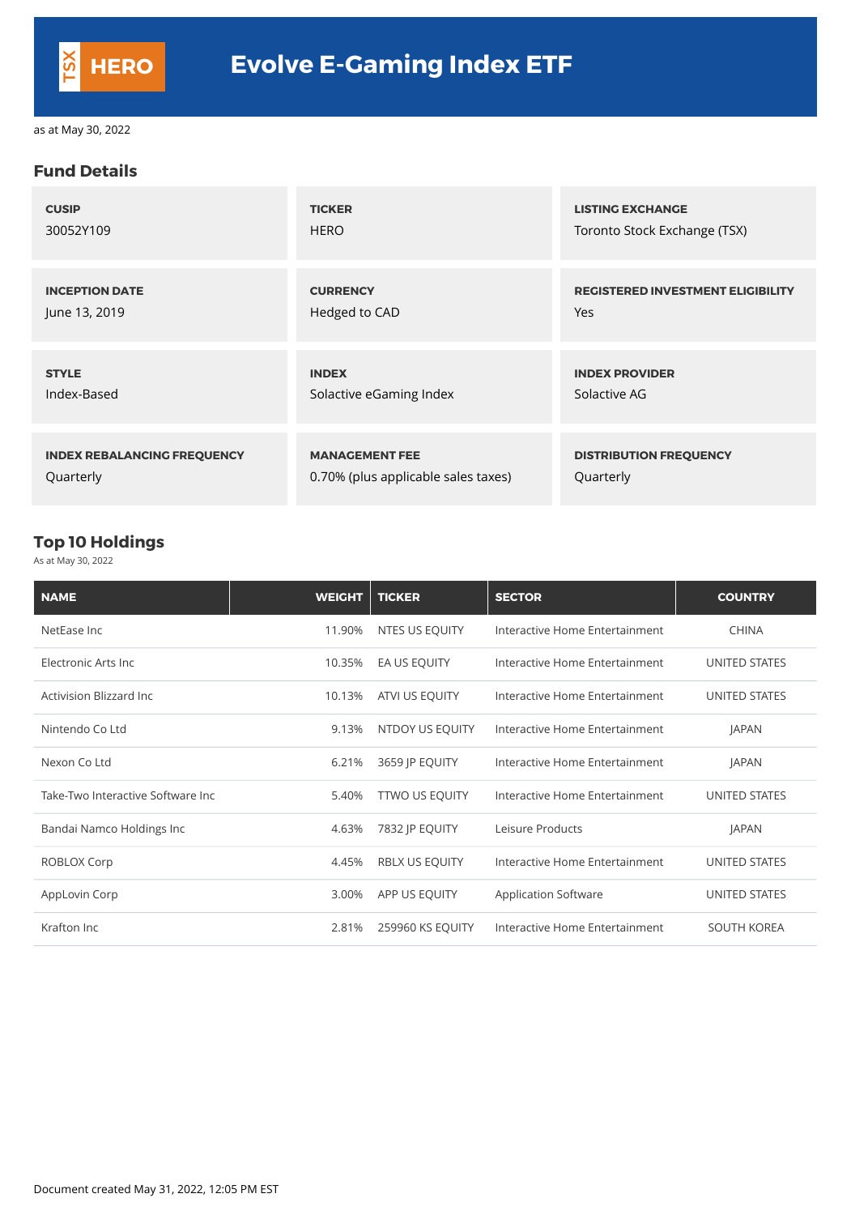#### **Fund Details**

| <b>CUSIP</b>                       | <b>TICKER</b>                       | <b>LISTING EXCHANGE</b>                  |
|------------------------------------|-------------------------------------|------------------------------------------|
| 30052Y109                          | <b>HERO</b>                         | Toronto Stock Exchange (TSX)             |
| <b>INCEPTION DATE</b>              | <b>CURRENCY</b>                     | <b>REGISTERED INVESTMENT ELIGIBILITY</b> |
| June 13, 2019                      | Hedged to CAD                       | <b>Yes</b>                               |
| <b>STYLE</b>                       | <b>INDEX</b>                        | <b>INDEX PROVIDER</b>                    |
| Index-Based                        | Solactive eGaming Index             | Solactive AG                             |
| <b>INDEX REBALANCING FREQUENCY</b> | <b>MANAGEMENT FEE</b>               | <b>DISTRIBUTION FREQUENCY</b>            |
| Quarterly                          | 0.70% (plus applicable sales taxes) | Quarterly                                |

### **Top 10 Holdings**

As at May 30, 2022

| <b>NAME</b>                       | <b>WEIGHT</b> | <b>TICKER</b>          | <b>SECTOR</b>                  | <b>COUNTRY</b>       |
|-----------------------------------|---------------|------------------------|--------------------------------|----------------------|
| NetEase Inc                       | 11.90%        | NTES US EQUITY         | Interactive Home Entertainment | <b>CHINA</b>         |
| Electronic Arts Inc               | 10.35%        | EA US EQUITY           | Interactive Home Entertainment | <b>UNITED STATES</b> |
| <b>Activision Blizzard Inc</b>    | 10.13%        | ATVI US EQUITY         | Interactive Home Entertainment | UNITED STATES        |
| Nintendo Co Ltd                   | 9.13%         | <b>NTDOY US EQUITY</b> | Interactive Home Entertainment | <b>JAPAN</b>         |
| Nexon Co Ltd                      | 6.21%         | 3659 JP EQUITY         | Interactive Home Entertainment | <b>JAPAN</b>         |
| Take-Two Interactive Software Inc | 5.40%         | <b>TTWO US EQUITY</b>  | Interactive Home Entertainment | <b>UNITED STATES</b> |
| Bandai Namco Holdings Inc         | 4.63%         | 7832 JP EQUITY         | Leisure Products               | <b>JAPAN</b>         |

| ROBLOX Corp   | 4.45% RBLX US EQUITY   | Interactive Home Entertainment | UNITED STATES      |
|---------------|------------------------|--------------------------------|--------------------|
| AppLovin Corp | 3.00% APP US EQUITY    | <b>Application Software</b>    | UNITED STATES      |
| Krafton Inc   | 2.81% 259960 KS EQUITY | Interactive Home Entertainment | <b>SOUTH KOREA</b> |

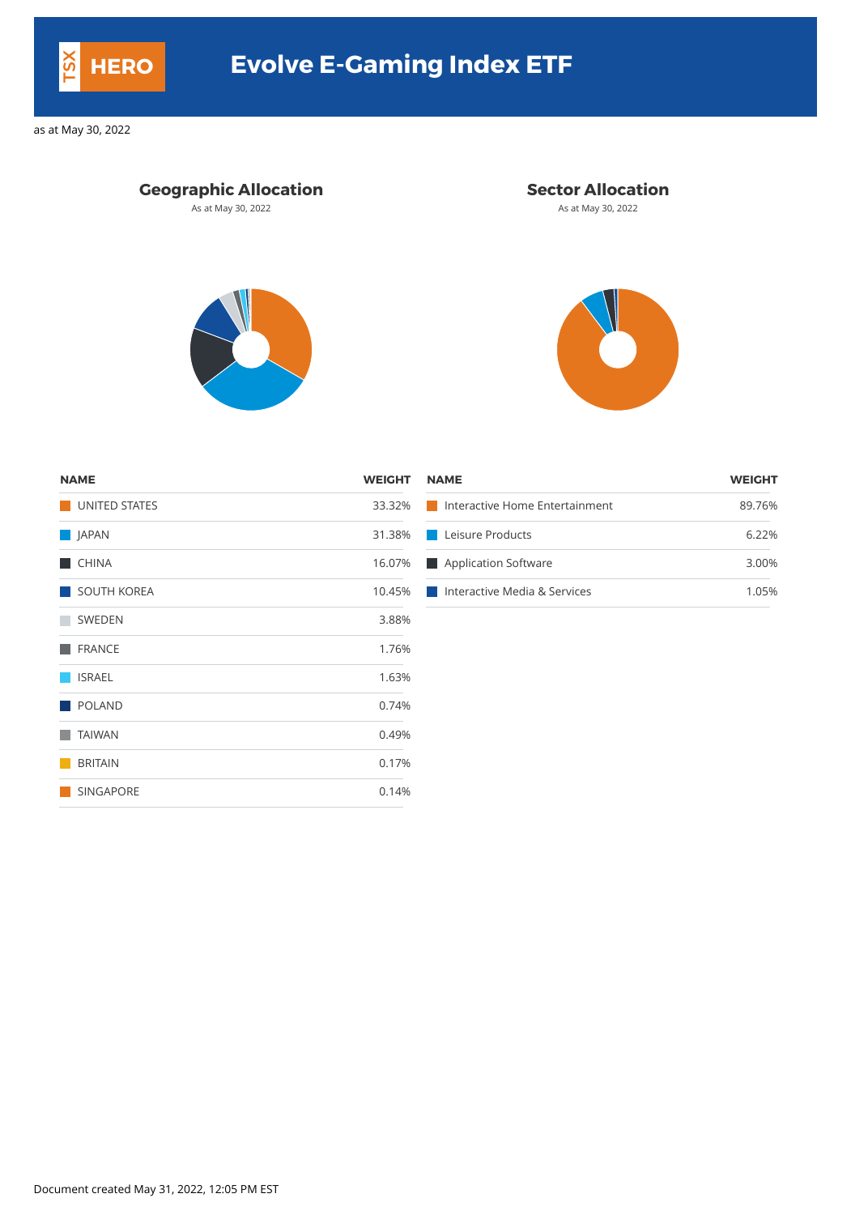## **Geographic Allocation Sector Allocation**

As at May 30, 2022 **As at May 30, 2022** As at May 30, 2022





| <b>NAME</b>   | <b>WEIGHT NAME</b> |                                       | <b>WEIGHT</b> |
|---------------|--------------------|---------------------------------------|---------------|
| UNITED STATES | 33.32%             | Interactive Home Entertainment        | 89.76%        |
| <b>JAPAN</b>  |                    | 31.38% Leisure Products               | 6.22%         |
| <b>CHINA</b>  |                    | 16.07% Application Software           | 3.00%         |
| SOUTH KOREA   |                    | 10.45%   Interactive Media & Services | .05%          |

| <b>NAME</b>          | <b>WEIGHT</b> |
|----------------------|---------------|
| <b>UNITED STATES</b> | 33.32%        |
| JAPAN                | 31.38%        |
| <b>CHINA</b>         | 16.07%        |
| <b>SOUTH KOREA</b>   | 10.45%        |
| <b>SWEDEN</b>        | 3.88%         |
| <b>FRANCE</b>        | 1.76%         |
| <b>ISRAEL</b>        | 1.63%         |
| <b>POLAND</b>        | 0.74%         |
| <b>TAIWAN</b>        | 0.49%         |
| <b>BRITAIN</b>       | 0.17%         |
| <b>SINGAPORE</b>     | 0.14%         |

Document created May 31, 2022, 12:05 PM EST



# **HERO Evolve E-Gaming Index ETF**